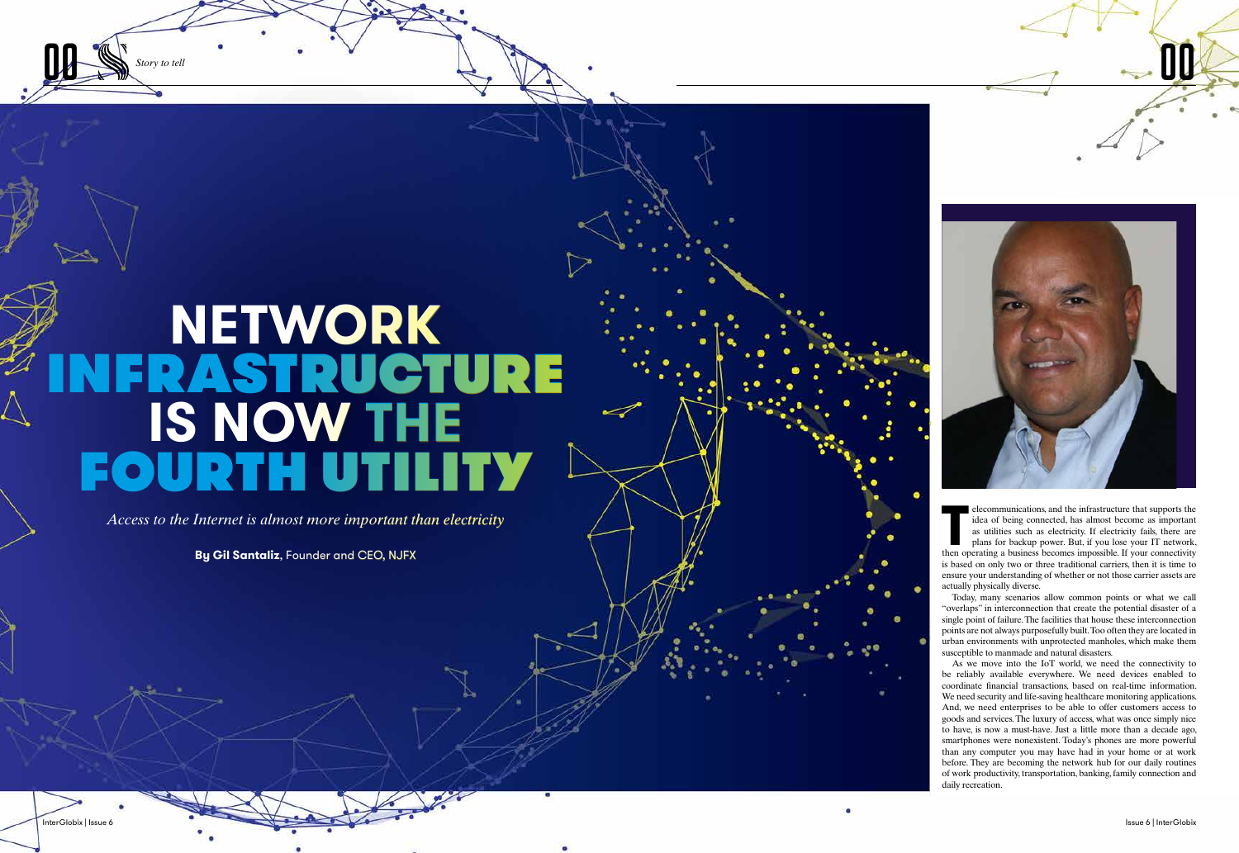**00 Story to tell** 



**QQ** 

**THE EXECUTE EXECUTE:** The idea of being connected, has almost become as important as utilities such as electricity. If electricity fails, there are plans for backup power. But, if you lose your IT network, then operating elecommunications, and the infrastructure that supports the idea of being connected, has almost become as important as utilities such as electricity. If electricity fails, there are plans for backup power. But, if you lose your IT network, is based on only two or three traditional carriers, then it is time to ensure your understanding of whether or not those carrier assets are actually physically diverse.

Today, many scenarios allow common points or what we call "overlaps" in interconnection that create the potential disaster of a single point of failure. The facilities that house these interconnection points are not always purposefully built. Too often they are located in urban environments with unprotected manholes, which make them susceptible to manmade and natural disasters.

As we move into the IoT world, we need the connectivity to be reliably available everywhere. We need devices enabled to coordinate financial transactions, based on real-time information. We need security and life-saving healthcare monitoring applications. And, we need enterprises to be able to offer customers access to goods and services. The luxury of access, what was once simply nice to have, is now a must-have. Just a little more than a decade ago, smartphones were nonexistent. Today's phones are more powerful than any computer you may have had in your home or at work before. They are becoming the network hub for our daily routines of work productivity, transportation, banking, family connection and daily recreation.

# **NETWORK FRASTRUCTURE IS NOW THE FOURTH UTILITY**

*Access to the Internet is almost more important than electricity*

**By Gil Santaliz**, Founder and CEO, NJFX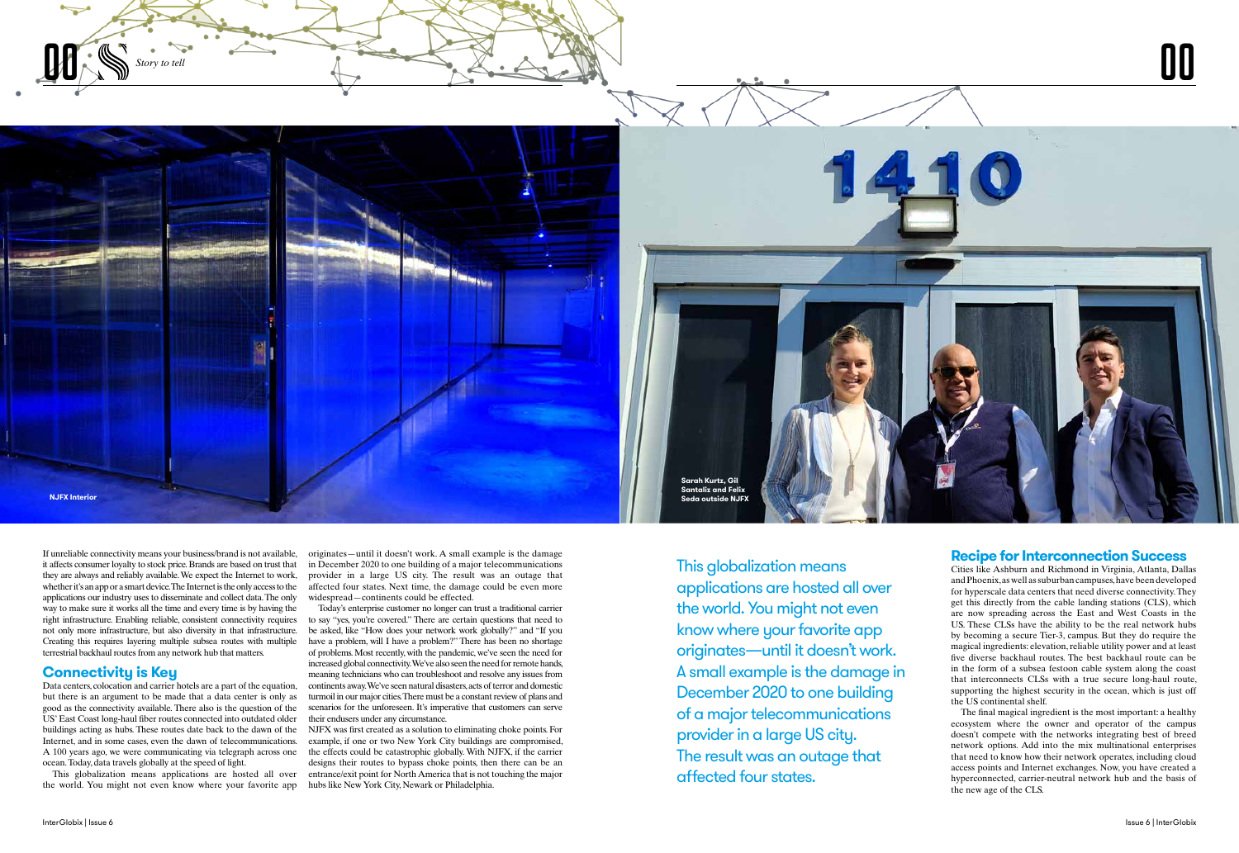InterGlobix | Issue 6 Issue 6 | InterGlobix

If unreliable connectivity means your business/brand is not available, it affects consumer loyalty to stock price. Brands are based on trust that they are always and reliably available. We expect the Internet to work, whether it's an app or a smart device. The Internet is the only access to the applications our industry uses to disseminate and collect data. The only way to make sure it works all the time and every time is by having the right infrastructure. Enabling reliable, consistent connectivity requires not only more infrastructure, but also diversity in that infrastructure. Creating this requires layering multiple subsea routes with multiple terrestrial backhaul routes from any network hub that matters.

### **Connectivity is Key**



Data centers, colocation and carrier hotels are a part of the equation, but there is an argument to be made that a data center is only as good as the connectivity available. There also is the question of the US' East Coast long-haul fiber routes connected into outdated older buildings acting as hubs. These routes date back to the dawn of the Internet, and in some cases, even the dawn of telecommunications. A 100 years ago, we were communicating via telegraph across one ocean. Today, data travels globally at the speed of light.

This globalization means applications are hosted all over the world. You might not even know where your favorite app

This globalization means applications are hosted all over the world. You might not even know where your favorite app originates—until it doesn't work. A small example is the damage in December 2020 to one building of a major telecommunications provider in a large US city. The result was an outage that affected four states.



originates—until it doesn't work. A small example is the damage in December 2020 to one building of a major telecommunications provider in a large US city. The result was an outage that affected four states. Next time, the damage could be even more widespread—continents could be effected.

Today's enterprise customer no longer can trust a traditional carrier to say "yes, you're covered." There are certain questions that need to be asked, like "How does your network work globally?" and "If you have a problem, will I have a problem?" There has been no shortage of problems. Most recently, with the pandemic, we've seen the need for increased global connectivity. We've also seen the need for remote hands, meaning technicians who can troubleshoot and resolve any issues from continents away. We've seen natural disasters, acts of terror and domestic turmoil in our major cities. There must be a constant review of plans and scenarios for the unforeseen. It's imperative that customers can serve their endusers under any circumstance.

NJFX was first created as a solution to eliminating choke points. For example, if one or two New York City buildings are compromised, the effects could be catastrophic globally. With NJFX, if the carrier designs their routes to bypass choke points, then there can be an entrance/exit point for North America that is not touching the major hubs like New York City, Newark or Philadelphia.

### **Recipe for Interconnection Success**

Cities like Ashburn and Richmond in Virginia, Atlanta, Dallas and Phoenix, as well as suburban campuses, have been developed for hyperscale data centers that need diverse connectivity. They get this directly from the cable landing stations (CLS), which are now spreading across the East and West Coasts in the US. These CLSs have the ability to be the real network hubs by becoming a secure Tier-3, campus. But they do require the magical ingredients: elevation, reliable utility power and at least five diverse backhaul routes. The best backhaul route can be in the form of a subsea festoon cable system along the coast that interconnects CLSs with a true secure long-haul route, supporting the highest security in the ocean, which is just off the US continental shelf.

The final magical ingredient is the most important: a healthy ecosystem where the owner and operator of the campus doesn't compete with the networks integrating best of breed network options. Add into the mix multinational enterprises that need to know how their network operates, including cloud access points and Internet exchanges. Now, you have created a hyperconnected, carrier-neutral network hub and the basis of the new age of the CLS.